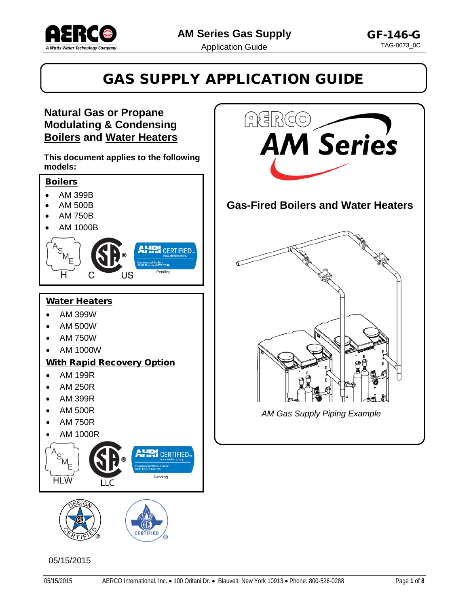

**Gas-Fired Boilers and Water Heaters**

**AM** Series

*AM Gas Supply Piping Example*

# GAS SUPPLY APPLICATION GUIDE

HERGO

#### **Natural Gas or Propane Modulating & Condensing Boilers and Water Heaters**

**This document applies to the following models:**







#### 05/15/2015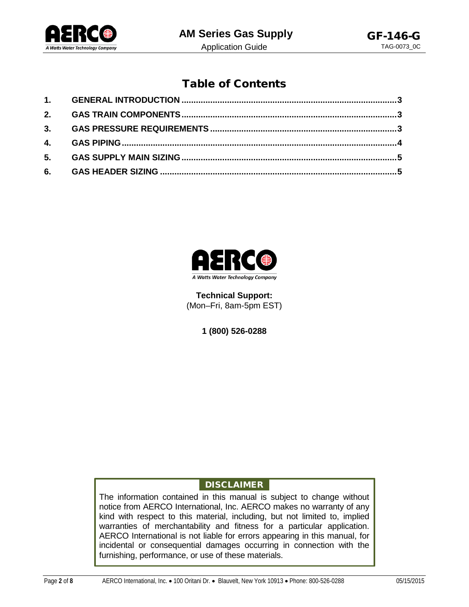

### Table of Contents



**Technical Support:** (Mon–Fri, 8am-5pm EST)

**1 (800) 526-0288**

#### <span id="page-1-0"></span>DISCLAIMER

The information contained in this manual is subject to change without notice from AERCO International, Inc. AERCO makes no warranty of any kind with respect to this material, including, but not limited to, implied warranties of merchantability and fitness for a particular application. AERCO International is not liable for errors appearing in this manual, for incidental or consequential damages occurring in connection with the furnishing, performance, or use of these materials.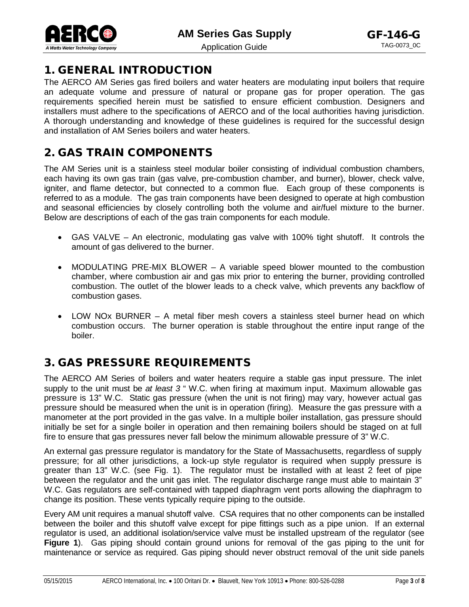**AM Series Gas Supply** 



#### 1. GENERAL INTRODUCTION

The AERCO AM Series gas fired boilers and water heaters are modulating input boilers that require an adequate volume and pressure of natural or propane gas for proper operation. The gas requirements specified herein must be satisfied to ensure efficient combustion. Designers and installers must adhere to the specifications of AERCO and of the local authorities having jurisdiction. A thorough understanding and knowledge of these guidelines is required for the successful design and installation of AM Series boilers and water heaters.

## <span id="page-2-0"></span>2. GAS TRAIN COMPONENTS

The AM Series unit is a stainless steel modular boiler consisting of individual combustion chambers, each having its own gas train (gas valve, pre-combustion chamber, and burner), blower, check valve, igniter, and flame detector, but connected to a common flue. Each group of these components is referred to as a module. The gas train components have been designed to operate at high combustion and seasonal efficiencies by closely controlling both the volume and air/fuel mixture to the burner. Below are descriptions of each of the gas train components for each module.

- GAS VALVE An electronic, modulating gas valve with 100% tight shutoff. It controls the amount of gas delivered to the burner.
- MODULATING PRE-MIX BLOWER A variable speed blower mounted to the combustion chamber, where combustion air and gas mix prior to entering the burner, providing controlled combustion. The outlet of the blower leads to a check valve, which prevents any backflow of combustion gases.
- LOW NOx BURNER A metal fiber mesh covers a stainless steel burner head on which combustion occurs. The burner operation is stable throughout the entire input range of the boiler.

#### <span id="page-2-1"></span>3. GAS PRESSURE REQUIREMENTS

The AERCO AM Series of boilers and water heaters require a stable gas input pressure. The inlet supply to the unit must be *at least 3* " W.C. when firing at maximum input. Maximum allowable gas pressure is 13" W.C. Static gas pressure (when the unit is not firing) may vary, however actual gas pressure should be measured when the unit is in operation (firing). Measure the gas pressure with a manometer at the port provided in the gas valve. In a multiple boiler installation, gas pressure should initially be set for a single boiler in operation and then remaining boilers should be staged on at full fire to ensure that gas pressures never fall below the minimum allowable pressure of 3" W.C.

An external gas pressure regulator is mandatory for the State of Massachusetts, regardless of supply pressure; for all other jurisdictions, a lock-up style regulator is required when supply pressure is greater than 13" W.C. (see Fig. 1). The regulator must be installed with at least 2 feet of pipe between the regulator and the unit gas inlet. The regulator discharge range must able to maintain 3" W.C. Gas regulators are self-contained with tapped diaphragm vent ports allowing the diaphragm to change its position. These vents typically require piping to the outside.

Every AM unit requires a manual shutoff valve. CSA requires that no other components can be installed between the boiler and this shutoff valve except for pipe fittings such as a pipe union. If an external regulator is used, an additional isolation/service valve must be installed upstream of the regulator (see **Figure 1**). Gas piping should contain ground unions for removal of the gas piping to the unit for maintenance or service as required. Gas piping should never obstruct removal of the unit side panels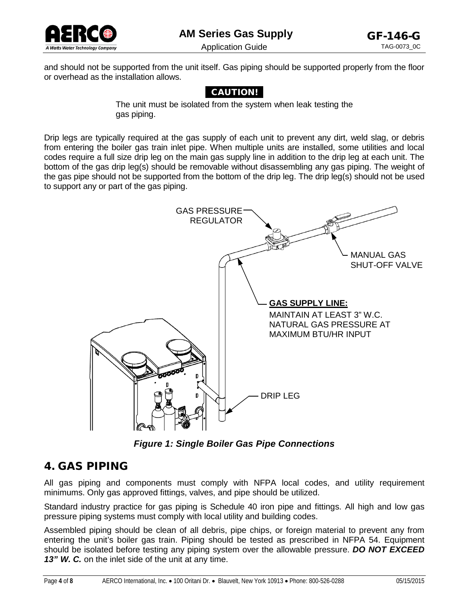

and should not be supported from the unit itself. Gas piping should be supported properly from the floor or overhead as the installation allows.

#### CAUTION!

The unit must be isolated from the system when leak testing the gas piping.

Drip legs are typically required at the gas supply of each unit to prevent any dirt, weld slag, or debris from entering the boiler gas train inlet pipe. When multiple units are installed, some utilities and local codes require a full size drip leg on the main gas supply line in addition to the drip leg at each unit. The bottom of the gas drip leg(s) should be removable without disassembling any gas piping. The weight of the gas pipe should not be supported from the bottom of the drip leg. The drip leg(s) should not be used to support any or part of the gas piping.



*Figure 1: Single Boiler Gas Pipe Connections*

#### <span id="page-3-0"></span>4. GAS PIPING

All gas piping and components must comply with NFPA local codes, and utility requirement minimums. Only gas approved fittings, valves, and pipe should be utilized.

Standard industry practice for gas piping is Schedule 40 iron pipe and fittings. All high and low gas pressure piping systems must comply with local utility and building codes.

Assembled piping should be clean of all debris, pipe chips, or foreign material to prevent any from entering the unit's boiler gas train. Piping should be tested as prescribed in NFPA 54. Equipment should be isolated before testing any piping system over the allowable pressure. *DO NOT EXCEED*  13" W. C. on the inlet side of the unit at any time.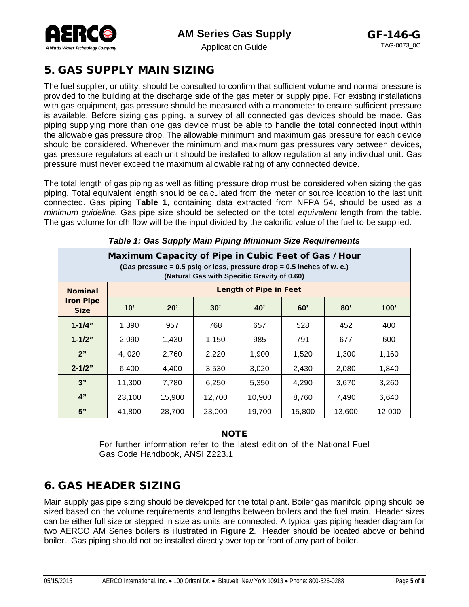

Application Guide

## <span id="page-4-0"></span>5. GAS SUPPLY MAIN SIZING

The fuel supplier, or utility, should be consulted to confirm that sufficient volume and normal pressure is provided to the building at the discharge side of the gas meter or supply pipe. For existing installations with gas equipment, gas pressure should be measured with a manometer to ensure sufficient pressure is available. Before sizing gas piping, a survey of all connected gas devices should be made. Gas piping supplying more than one gas device must be able to handle the total connected input within the allowable gas pressure drop. The allowable minimum and maximum gas pressure for each device should be considered. Whenever the minimum and maximum gas pressures vary between devices, gas pressure regulators at each unit should be installed to allow regulation at any individual unit. Gas pressure must never exceed the maximum allowable rating of any connected device.

The total length of gas piping as well as fitting pressure drop must be considered when sizing the gas piping. Total equivalent length should be calculated from the meter or source location to the last unit connected. Gas piping **Table 1**, containing data extracted from NFPA 54, should be used as *a minimum guideline.* Gas pipe size should be selected on the total *equivalent* length from the table. The gas volume for cfh flow will be the input divided by the calorific value of the fuel to be supplied.

| Maximum Capacity of Pipe in Cubic Feet of Gas / Hour<br>(Gas pressure = 0.5 psig or less, pressure drop = 0.5 inches of w. c.)<br>(Natural Gas with Specific Gravity of 0.60) |                               |        |        |        |        |        |        |  |  |  |
|-------------------------------------------------------------------------------------------------------------------------------------------------------------------------------|-------------------------------|--------|--------|--------|--------|--------|--------|--|--|--|
| <b>Nominal</b>                                                                                                                                                                | <b>Length of Pipe in Feet</b> |        |        |        |        |        |        |  |  |  |
| <b>Iron Pipe</b><br><b>Size</b>                                                                                                                                               | 10'                           | 20'    | 30'    | 40'    | 60'    | 80'    | 100'   |  |  |  |
| $1 - 1/4"$                                                                                                                                                                    | 1,390                         | 957    | 768    | 657    | 528    | 452    | 400    |  |  |  |
| $1 - 1/2"$                                                                                                                                                                    | 2,090                         | 1,430  | 1,150  | 985    | 791    | 677    | 600    |  |  |  |
| 2"                                                                                                                                                                            | 4,020                         | 2,760  | 2,220  | 1,900  | 1,520  | 1,300  | 1,160  |  |  |  |
| $2 - 1/2"$                                                                                                                                                                    | 6,400                         | 4,400  | 3,530  | 3,020  | 2,430  | 2,080  | 1,840  |  |  |  |
| 3"                                                                                                                                                                            | 11,300                        | 7,780  | 6,250  | 5,350  | 4,290  | 3,670  | 3,260  |  |  |  |
| 4"                                                                                                                                                                            | 23,100                        | 15,900 | 12,700 | 10,900 | 8,760  | 7,490  | 6,640  |  |  |  |
| 5"                                                                                                                                                                            | 41,800                        | 28,700 | 23,000 | 19,700 | 15,800 | 13,600 | 12,000 |  |  |  |

*Table 1: Gas Supply Main Piping Minimum Size Requirements*

#### **NOTE**

For further information refer to the latest edition of the National Fuel Gas Code Handbook, ANSI Z223.1

## <span id="page-4-1"></span>6. GAS HEADER SIZING

Main supply gas pipe sizing should be developed for the total plant. Boiler gas manifold piping should be sized based on the volume requirements and lengths between boilers and the fuel main. Header sizes can be either full size or stepped in size as units are connected. A typical gas piping header diagram for two AERCO AM Series boilers is illustrated in **Figure 2**. Header should be located above or behind boiler. Gas piping should not be installed directly over top or front of any part of boiler.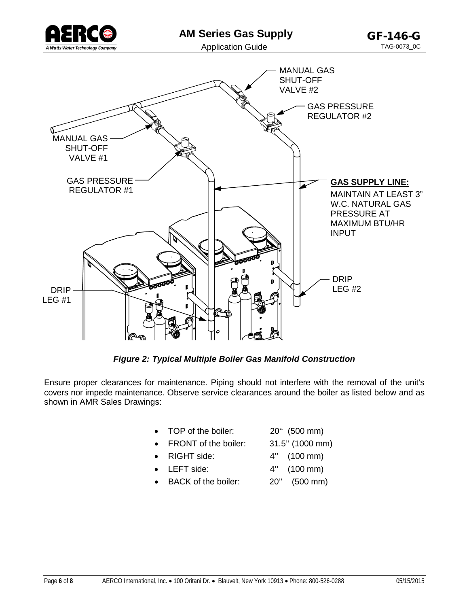



*Figure 2: Typical Multiple Boiler Gas Manifold Construction*

Ensure proper clearances for maintenance. Piping should not interfere with the removal of the unit's covers nor impede maintenance. Observe service clearances around the boiler as listed below and as shown in AMR Sales Drawings:

- TOP of the boiler: 20'' (500 mm)
- FRONT of the boiler: 31.5" (1000 mm)
- RIGHT side: 4" (100 mm)
- LEFT side:  $4''$  (100 mm)
- BACK of the boiler: 20'' (500 mm)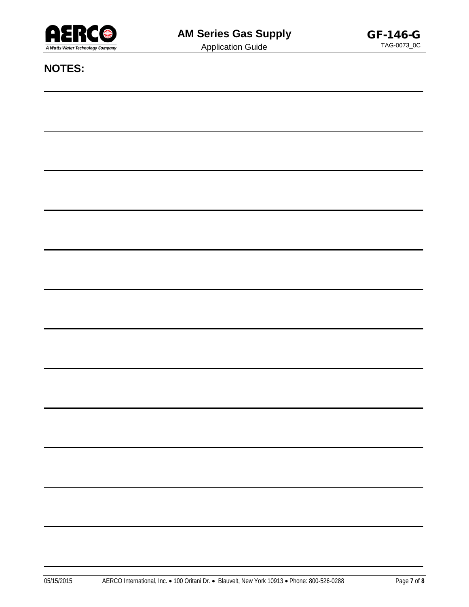

Application Guide

**NOTES:**